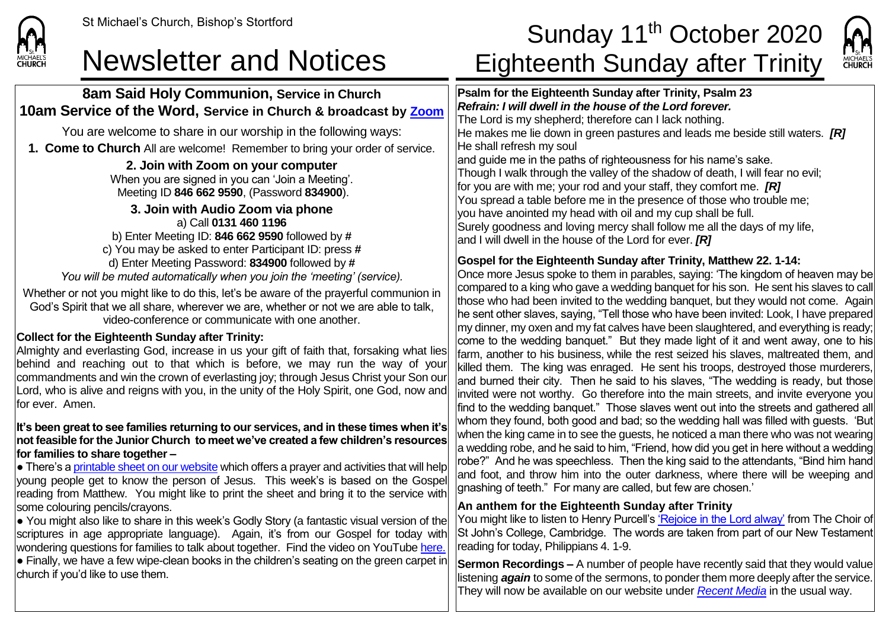

# **8am Said Holy Communion, Service in Church 10am Service of the Word, Service in Church & broadcast by [Zoom](https://zoom.us/)**

You are welcome to share in our worship in the following ways:

**1. Come to Church** All are welcome! Remember to bring your order of service.

**2. Join with Zoom on your computer** When you are signed in you can 'Join a Meeting'.

Meeting ID **846 662 9590**, (Password **834900**).

**3. Join with Audio Zoom via phone** a) Call **0131 460 1196** b) Enter Meeting ID: **846 662 9590** followed by **#** c) You may be asked to enter Participant ID: press **#** d) Enter Meeting Password: **834900** followed by **#** *You will be muted automatically when you join the 'meeting' (service).*

Whether or not you might like to do this, let's be aware of the prayerful communion in God's Spirit that we all share, wherever we are, whether or not we are able to talk, video-conference or communicate with one another.

## **Collect for the Eighteenth Sunday after Trinity:**

Almighty and everlasting God, increase in us your gift of faith that, forsaking what lies behind and reaching out to that which is before, we may run the way of your commandments and win the crown of everlasting joy; through Jesus Christ your Son our Lord, who is alive and reigns with you, in the unity of the Holy Spirit, one God, now and for ever. Amen.

### **It's been great to see families returning to our services, and in these times when it's not feasible for the Junior Church to meet we've created a few children's resources for families to share together –**

 $\bullet$  There's [a printable sheet on our website](https://saintmichaelweb.org.uk/Articles/542815/_Newsletter.aspx) which offers a prayer and activities that will help young people get to know the person of Jesus. This week's is based on the Gospel reading from Matthew. You might like to print the sheet and bring it to the service with some colouring pencils/crayons.

● You might also like to share in this week's Godly Story (a fantastic visual version of the scriptures in age appropriate language). Again, it's from our Gospel for today with wondering questions for families to talk about together. Find the video on YouTube [here.](https://www.youtube.com/watch?v=H4WNeSd10S8)  $\bullet$  Finally, we have a few wipe-clean books in the children's seating on the green carpet in

church if you'd like to use them.

# St Michael's Church, Bishop's Stortford **Sunday 11<sup>th</sup> October 2020** Newsletter and Notices Eighteenth Sunday after Trinity



**Psalm for the Eighteenth Sunday after Trinity, Psalm 23** *Refrain: I will dwell in the house of the Lord forever.* The Lord is my shepherd; therefore can I lack nothing. He makes me lie down in green pastures and leads me beside still waters. *[R]* He shall refresh my soul and quide me in the paths of righteousness for his name's sake. Though I walk through the valley of the shadow of death, I will fear no evil; for you are with me; your rod and your staff, they comfort me. *[R]* You spread a table before me in the presence of those who trouble me; you have anointed my head with oil and my cup shall be full. Surely goodness and loving mercy shall follow me all the days of my life, and I will dwell in the house of the Lord for ever. *[R]*

# **Gospel for the Eighteenth Sunday after Trinity, Matthew 22. 1-14:**

Once more Jesus spoke to them in parables, saying: 'The kingdom of heaven may be compared to a king who gave a wedding banquet for his son. He sent his slaves to call those who had been invited to the wedding banquet, but they would not come. Again he sent other slaves, saying, "Tell those who have been invited: Look, I have prepared my dinner, my oxen and my fat calves have been slaughtered, and everything is ready; come to the wedding banquet." But they made light of it and went away, one to his farm, another to his business, while the rest seized his slaves, maltreated them, and killed them. The king was enraged. He sent his troops, destroyed those murderers, and burned their city. Then he said to his slaves, "The wedding is ready, but those invited were not worthy. Go therefore into the main streets, and invite everyone you find to the wedding banquet." Those slaves went out into the streets and gathered all whom they found, both good and bad; so the wedding hall was filled with guests. 'But when the king came in to see the guests, he noticed a man there who was not wearing  $\alpha$  wedding robe, and he said to him, "Friend, how did you get in here without a wedding robe?" And he was speechless. Then the king said to the attendants, "Bind him hand and foot, and throw him into the outer darkness, where there will be weeping and gnashing of teeth." For many are called, but few are chosen.'

# **An anthem for the Eighteenth Sunday after Trinity**

You might like to listen to Henry Purcell's 'Rejoice in [the Lord alway'](https://www.youtube.com/watch?v=rFJ8uxRkeA4) from The Choir of St John's College, Cambridge. The words are taken from part of our New Testament reading for today, Philippians 4. 1-9.

**Sermon Recordings –** A number of people have recently said that they would value listening *again* to some of the sermons, to ponder them more deeply after the service. They will now be available on our website under *[Recent Media](https://saintmichaelweb.org.uk/media/allmedia.aspx)* in the usual way.